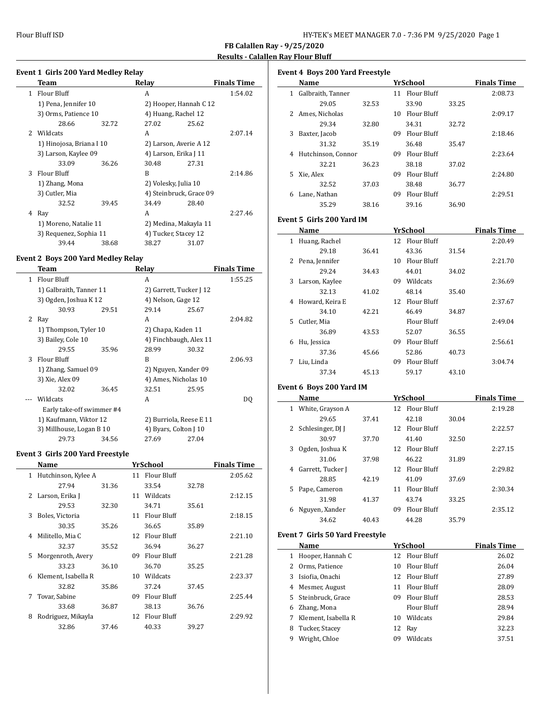$\overline{\phantom{a}}$ 

 $\overline{a}$ 

 $\overline{\phantom{a}}$ 

**FB Calallen Ray - 9/25/2020**

# **Results - Calallen Ray Flour Bluff**

# **Event 1 Girls 200 Yard Medley Relay**

|               | Team                     |       | Relay                   |       | <b>Finals Time</b> |
|---------------|--------------------------|-------|-------------------------|-------|--------------------|
| 1.            | Flour Bluff              |       | A                       |       | 1:54.02            |
|               | 1) Pena, Jennifer 10     |       | 2) Hooper, Hannah C 12  |       |                    |
|               | 3) Orms, Patience 10     |       | 4) Huang, Rachel 12     |       |                    |
|               | 28.66                    | 32.72 | 27.02                   | 25.62 |                    |
| $\mathcal{P}$ | Wildcats                 |       | A                       |       | 2:07.14            |
|               | 1) Hinojosa, Briana I 10 |       | 2) Larson, Averie A 12  |       |                    |
|               | 3) Larson, Kaylee 09     |       | 4) Larson, Erika J 11   |       |                    |
|               | 33.09                    | 36.26 | 30.48                   | 27.31 |                    |
| 3             | Flour Bluff              |       | B                       |       | 2:14.86            |
|               | 1) Zhang, Mona           |       | 2) Volesky, Julia 10    |       |                    |
|               | 3) Cutler, Mia           |       | 4) Steinbruck, Grace 09 |       |                    |
|               | 32.52                    | 39.45 | 34.49                   | 28.40 |                    |
| 4             | Ray                      |       | A                       |       | 2:27.46            |
|               | 1) Moreno, Natalie 11    |       | 2) Medina, Makayla 11   |       |                    |
|               | 3) Requenez, Sophia 11   |       | 4) Tucker, Stacey 12    |       |                    |
|               | 39.44                    | 38.68 | 38.27                   | 31.07 |                    |

#### **Event 2 Boys 200 Yard Medley Relay**

|    | Team                      |       | Relav                   |       | <b>Finals Time</b> |
|----|---------------------------|-------|-------------------------|-------|--------------------|
| 1. | Flour Bluff               |       | A                       |       | 1:55.25            |
|    | 1) Galbraith, Tanner 11   |       | 2) Garrett, Tucker J 12 |       |                    |
|    | 3) Ogden, Joshua K 12     |       | 4) Nelson, Gage 12      |       |                    |
|    | 30.93                     | 29.51 | 29.14                   | 25.67 |                    |
| 2  | Ray                       |       | A                       |       | 2:04.82            |
|    | 1) Thompson, Tyler 10     |       | 2) Chapa, Kaden 11      |       |                    |
|    | 3) Bailey, Cole 10        |       | 4) Finchbaugh, Alex 11  |       |                    |
|    | 29.55                     | 35.96 | 28.99                   | 30.32 |                    |
| 3  | Flour Bluff               |       | R                       |       | 2:06.93            |
|    | 1) Zhang, Samuel 09       |       | 2) Nguyen, Xander 09    |       |                    |
|    | 3) Xie, Alex 09           |       | 4) Ames, Nicholas 10    |       |                    |
|    | 32.02                     | 36.45 | 32.51                   | 25.95 |                    |
|    | Wildcats                  |       | A                       |       | DO.                |
|    | Early take-off swimmer #4 |       |                         |       |                    |
|    | 1) Kaufmann, Viktor 12    |       | 2) Burriola, Reese E 11 |       |                    |
|    | 3) Millhouse, Logan B 10  |       | 4) Byars, Colton J 10   |       |                    |
|    | 29.73                     | 34.56 | 27.69                   | 27.04 |                    |

## **Event 3 Girls 200 Yard Freestyle**

|   | Name                |       |    | YrSchool       |       | <b>Finals Time</b> |
|---|---------------------|-------|----|----------------|-------|--------------------|
| 1 | Hutchinson, Kylee A |       |    | 11 Flour Bluff |       | 2:05.62            |
|   | 27.94               | 31.36 |    | 33.54          | 32.78 |                    |
| 2 | Larson, Erika J     |       | 11 | Wildcats       |       | 2:12.15            |
|   | 29.53               | 32.30 |    | 34.71          | 35.61 |                    |
| 3 | Boles, Victoria     |       | 11 | Flour Bluff    |       | 2:18.15            |
|   | 30.35               | 35.26 |    | 36.65          | 35.89 |                    |
| 4 | Militello, Mia C    |       | 12 | Flour Bluff    |       | 2:21.10            |
|   | 32.37               | 35.52 |    | 36.94          | 36.27 |                    |
| 5 | Morgenroth, Avery   |       | 09 | Flour Bluff    |       | 2:21.28            |
|   | 33.23               | 36.10 |    | 36.70          | 35.25 |                    |
| 6 | Klement, Isabella R |       | 10 | Wildcats       |       | 2:23.37            |
|   | 32.82               | 35.86 |    | 37.24          | 37.45 |                    |
| 7 | Tovar, Sabine       |       | 09 | Flour Bluff    |       | 2:25.44            |
|   | 33.68               | 36.87 |    | 38.13          | 36.76 |                    |
| 8 | Rodriguez, Mikayla  |       |    | 12 Flour Bluff |       | 2:29.92            |
|   | 32.86               | 37.46 |    | 40.33          | 39.27 |                    |
|   |                     |       |    |                |       |                    |

|    | <b>Event 4 Boys 200 Yard Freestyle</b> |       |    |             |       |                    |  |  |  |
|----|----------------------------------------|-------|----|-------------|-------|--------------------|--|--|--|
|    | Name                                   |       |    | YrSchool    |       | <b>Finals Time</b> |  |  |  |
| 1  | Galbraith, Tanner                      |       | 11 | Flour Bluff |       | 2:08.73            |  |  |  |
|    | 29.05                                  | 32.53 |    | 33.90       | 33.25 |                    |  |  |  |
| 2  | Ames, Nicholas                         |       | 10 | Flour Bluff |       | 2:09.17            |  |  |  |
|    | 29.34                                  | 32.80 |    | 34.31       | 32.72 |                    |  |  |  |
| 3  | Baxter, Jacob                          |       | 09 | Flour Bluff |       | 2:18.46            |  |  |  |
|    | 31.32                                  | 35.19 |    | 36.48       | 35.47 |                    |  |  |  |
| 4  | Hutchinson, Connor                     |       | 09 | Flour Bluff |       | 2:23.64            |  |  |  |
|    | 32.21                                  | 36.23 |    | 38.18       | 37.02 |                    |  |  |  |
| 5. | Xie, Alex                              |       | 09 | Flour Bluff |       | 2:24.80            |  |  |  |
|    | 32.52                                  | 37.03 |    | 38.48       | 36.77 |                    |  |  |  |
| 6  | Lane, Nathan                           |       | 09 | Flour Bluff |       | 2:29.51            |  |  |  |
|    | 35.29                                  | 38.16 |    | 39.16       | 36.90 |                    |  |  |  |

#### **Event 5 Girls 200 Yard IM**

|   | Name             |       |    | YrSchool       |       | <b>Finals Time</b> |
|---|------------------|-------|----|----------------|-------|--------------------|
| 1 | Huang, Rachel    |       |    | 12 Flour Bluff |       | 2:20.49            |
|   | 29.18            | 36.41 |    | 43.36          | 31.54 |                    |
|   | 2 Pena, Jennifer |       | 10 | Flour Bluff    |       | 2:21.70            |
|   | 29.24            | 34.43 |    | 44.01          | 34.02 |                    |
| 3 | Larson, Kaylee   |       | 09 | Wildcats       |       | 2:36.69            |
|   | 32.13            | 41.02 |    | 48.14          | 35.40 |                    |
| 4 | Howard, Keira E  |       | 12 | Flour Bluff    |       | 2:37.67            |
|   | 34.10            | 42.21 |    | 46.49          | 34.87 |                    |
|   | 5 Cutler, Mia    |       |    | Flour Bluff    |       | 2:49.04            |
|   | 36.89            | 43.53 |    | 52.07          | 36.55 |                    |
| 6 | Hu, Jessica      |       | 09 | Flour Bluff    |       | 2:56.61            |
|   | 37.36            | 45.66 |    | 52.86          | 40.73 |                    |
| 7 | Liu, Linda       |       | 09 | Flour Bluff    |       | 3:04.74            |
|   | 37.34            | 45.13 |    | 59.17          | 43.10 |                    |

## **Event 6 Boys 200 Yard IM**

 $\overline{a}$ 

|   | Name              |       |     | YrSchool       |       | <b>Finals Time</b> |
|---|-------------------|-------|-----|----------------|-------|--------------------|
| 1 | White, Grayson A  |       |     | 12 Flour Bluff |       | 2:19.28            |
|   | 29.65             | 37.41 |     | 42.18          | 30.04 |                    |
| 2 | Schlesinger, DJ J |       | 12. | Flour Bluff    |       | 2:22.57            |
|   | 30.97             | 37.70 |     | 41.40          | 32.50 |                    |
| 3 | Ogden, Joshua K   |       | 12  | Flour Bluff    |       | 2:27.15            |
|   | 31.06             | 37.98 |     | 46.22          | 31.89 |                    |
| 4 | Garrett, Tucker J |       | 12. | Flour Bluff    |       | 2:29.82            |
|   | 28.85             | 42.19 |     | 41.09          | 37.69 |                    |
| 5 | Pape, Cameron     |       | 11  | Flour Bluff    |       | 2:30.34            |
|   | 31.98             | 41.37 |     | 43.74          | 33.25 |                    |
| 6 | Nguyen, Xander    |       | 09  | Flour Bluff    |       | 2:35.12            |
|   | 34.62             | 40.43 |     | 44.28          | 35.79 |                    |

#### **Event 7 Girls 50 Yard Freestyle**

|   | Name                |    | YrSchool       | <b>Finals Time</b> |
|---|---------------------|----|----------------|--------------------|
|   | Hooper, Hannah C    |    | 12 Flour Bluff | 26.02              |
|   | Orms, Patience      |    | 10 Flour Bluff | 26.04              |
| 3 | Isiofia, Onachi     |    | 12 Flour Bluff | 27.89              |
| 4 | Mesmer, August      |    | 11 Flour Bluff | 28.09              |
|   | 5 Steinbruck, Grace | 09 | Flour Bluff    | 28.53              |
| 6 | Zhang, Mona         |    | Flour Bluff    | 28.94              |
|   | Klement, Isabella R | 10 | Wildcats       | 29.84              |
| 8 | Tucker, Stacey      |    | 12 Ray         | 32.23              |
| 9 | Wright, Chloe       | 09 | Wildcats       | 37.51              |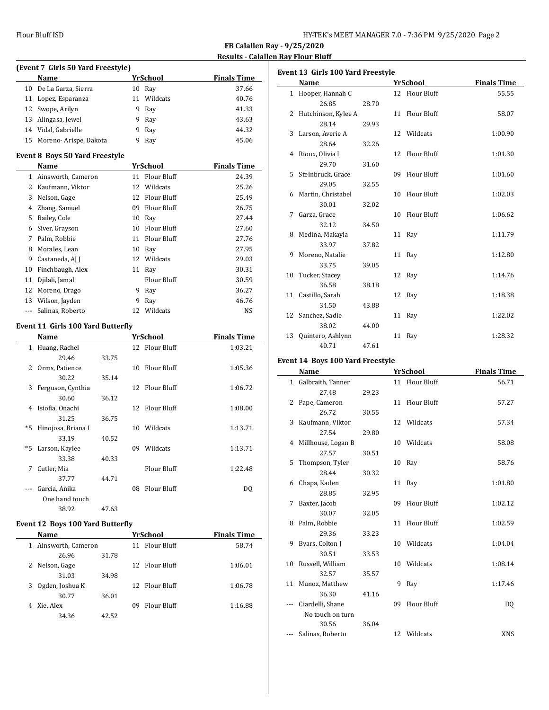$\overline{\phantom{0}}$ 

 $\overline{a}$ 

|      | (Event 7 Girls 50 Yard Freestyle)     |       |     |                    |                    |  |  |
|------|---------------------------------------|-------|-----|--------------------|--------------------|--|--|
|      | Name                                  |       |     | <b>YrSchool</b>    | <b>Finals Time</b> |  |  |
| 10   | De La Garza, Sierra                   |       |     | 10 Ray             | 37.66              |  |  |
| 11   | Lopez, Esparanza                      |       | 11  | Wildcats           | 40.76              |  |  |
| 12   | Swope, Arilyn                         |       | 9   | Ray                | 41.33              |  |  |
| 13   | Alingasa, Jewel                       |       | 9   | Ray                | 43.63              |  |  |
| 14   | Vidal, Gabrielle                      |       | 9   | Ray                | 44.32              |  |  |
| 15   | Moreno-Arispe, Dakota                 |       | 9   | Ray                | 45.06              |  |  |
|      | <b>Event 8 Boys 50 Yard Freestyle</b> |       |     |                    |                    |  |  |
|      | Name                                  |       |     | YrSchool           | <b>Finals Time</b> |  |  |
|      | 1 Ainsworth, Cameron                  |       |     | 11 Flour Bluff     | 24.39              |  |  |
|      | 2 Kaufmann, Viktor                    |       |     | 12 Wildcats        | 25.26              |  |  |
| 3    | Nelson, Gage                          |       |     | 12 Flour Bluff     | 25.49              |  |  |
| 4    | Zhang, Samuel                         |       |     | 09 Flour Bluff     | 26.75              |  |  |
| 5    | Bailey, Cole                          |       |     | 10 Ray             | 27.44              |  |  |
| 6    | Siver, Grayson                        |       |     | 10 Flour Bluff     | 27.60              |  |  |
| 7    | Palm, Robbie                          |       |     | 11 Flour Bluff     | 27.76              |  |  |
| 8    | Morales, Lean                         |       |     | 10 Ray             | 27.95              |  |  |
| 9    | Castaneda, AJ J                       |       | 12  | Wildcats           | 29.03              |  |  |
| 10   | Finchbaugh, Alex                      |       |     | 11 Ray             | 30.31              |  |  |
| 11   | Djilali, Jamal                        |       |     | <b>Flour Bluff</b> | 30.59              |  |  |
| 12   | Moreno, Drago                         |       |     | 9 Ray              | 36.27              |  |  |
| 13   | Wilson, Jayden                        |       | 9   | Ray                | 46.76              |  |  |
| ---  | Salinas, Roberto                      |       |     | 12 Wildcats        | NS                 |  |  |
|      | Event 11 Girls 100 Yard Butterfly     |       |     |                    |                    |  |  |
|      | Name                                  |       |     | <b>YrSchool</b>    | <b>Finals Time</b> |  |  |
|      | 1 Huang, Rachel                       |       |     | 12 Flour Bluff     | 1:03.21            |  |  |
|      | 29.46                                 | 33.75 |     |                    |                    |  |  |
| 2    | Orms, Patience                        |       | 10  | <b>Flour Bluff</b> | 1:05.36            |  |  |
|      | 30.22                                 | 35.14 |     |                    |                    |  |  |
| 3    | Ferguson, Cynthia                     |       | 12  | Flour Bluff        | 1:06.72            |  |  |
|      | 30.60                                 | 36.12 |     |                    |                    |  |  |
| 4    | Isiofia, Onachi                       |       |     | 12 Flour Bluff     | 1:08.00            |  |  |
|      | 31.25                                 | 36.75 |     |                    |                    |  |  |
| $*5$ | Hinojosa, Briana I                    |       |     | 10 Wildcats        | 1:13.71            |  |  |
|      | 33.19                                 | 40.52 |     |                    |                    |  |  |
| $*5$ | Larson, Kaylee                        |       | 09. | Wildcats           | 1:13.71            |  |  |
|      | 33.38                                 | 40.33 |     |                    |                    |  |  |
| 7    | Cutler, Mia                           |       |     | <b>Flour Bluff</b> | 1:22.48            |  |  |
|      | 37.77                                 | 44.71 |     |                    |                    |  |  |
|      | Garcia, Anika                         |       |     | 08 Flour Bluff     | DQ                 |  |  |
|      | One hand touch                        |       |     |                    |                    |  |  |
|      | 38.92                                 | 47.63 |     |                    |                    |  |  |
|      | Event 12 Boys 100 Yard Butterfly      |       |     |                    |                    |  |  |
|      | Name                                  |       |     | YrSchool           | <b>Finals Time</b> |  |  |
| 1    | Ainsworth, Cameron                    |       |     | 11 Flour Bluff     | 58.74              |  |  |
|      | 26.96                                 | 31.78 |     |                    |                    |  |  |
| 2    | Nelson, Gage                          |       |     | 12 Flour Bluff     | 1:06.01            |  |  |

31.03 34.98

30.77 36.01

34.36 42.52

3 Ogden, Joshua K 12 Flour Bluff 1:06.78

4 Xie, Alex 09 Flour Bluff 1:16.88

| Event 13  Girls 100 Yard Freestyle |                     |       |    |                    |                    |  |
|------------------------------------|---------------------|-------|----|--------------------|--------------------|--|
|                                    | Name                |       |    | YrSchool           | <b>Finals Time</b> |  |
|                                    | 1 Hooper, Hannah C  |       |    | 12 Flour Bluff     | 55.55              |  |
|                                    | 26.85               | 28.70 |    |                    |                    |  |
| 2                                  | Hutchinson, Kylee A |       |    | 11 Flour Bluff     | 58.07              |  |
|                                    | 28.14               | 29.93 |    |                    |                    |  |
| 3                                  | Larson, Averie A    |       |    | 12 Wildcats        | 1:00.90            |  |
|                                    | 28.64               | 32.26 |    |                    |                    |  |
| 4                                  | Rioux, Olivia I     |       | 12 | Flour Bluff        | 1:01.30            |  |
|                                    | 29.70               | 31.60 |    |                    |                    |  |
| 5                                  | Steinbruck, Grace   |       | 09 | Flour Bluff        | 1:01.60            |  |
|                                    | 29.05               | 32.55 |    |                    |                    |  |
| 6                                  | Martin, Christabel  |       | 10 | Flour Bluff        | 1:02.03            |  |
|                                    | 30.01               | 32.02 |    |                    |                    |  |
| 7                                  | Garza, Grace        |       | 10 | <b>Flour Bluff</b> | 1:06.62            |  |
|                                    | 32.12               | 34.50 |    |                    |                    |  |
| 8                                  | Medina, Makayla     |       |    | 11 Ray             | 1:11.79            |  |
|                                    | 33.97               | 37.82 |    |                    |                    |  |
| 9                                  | Moreno, Natalie     |       |    | 11 Ray             | 1:12.80            |  |
|                                    | 33.75               | 39.05 |    |                    |                    |  |
| 10                                 | Tucker, Stacey      |       |    | 12 Ray             | 1:14.76            |  |
|                                    | 36.58               | 38.18 |    |                    |                    |  |
| 11                                 | Castillo, Sarah     |       |    | 12 Ray             | 1:18.38            |  |
|                                    | 34.50               | 43.88 |    |                    |                    |  |
|                                    | 12 Sanchez, Sadie   |       |    | 11 Ray             | 1:22.02            |  |
|                                    | 38.02               | 44.00 |    |                    |                    |  |
| 13                                 | Quintero, Ashlynn   |       | 11 | Ray                | 1:28.32            |  |
|                                    | 40.71               | 47.61 |    |                    |                    |  |

## **Event 14 Boys 100 Yard Freestyle**

|    | Name                 |       |    | YrSchool           | <b>Finals Time</b> |
|----|----------------------|-------|----|--------------------|--------------------|
|    | 1 Galbraith, Tanner  |       |    | 11 Flour Bluff     | 56.71              |
|    | 27.48                | 29.23 |    |                    |                    |
| 2  | Pape, Cameron        |       |    | 11 Flour Bluff     | 57.27              |
|    | 26.72                | 30.55 |    |                    |                    |
| 3  | Kaufmann, Viktor     |       |    | 12 Wildcats        | 57.34              |
|    | 27.54                | 29.80 |    |                    |                    |
|    | 4 Millhouse, Logan B |       | 10 | Wildcats           | 58.08              |
|    | 27.57                | 30.51 |    |                    |                    |
| 5. | Thompson, Tyler      |       | 10 | Ray                | 58.76              |
|    | 28.44                | 30.32 |    |                    |                    |
| 6  | Chapa, Kaden         |       |    | 11 Ray             | 1:01.80            |
|    | 28.85                | 32.95 |    |                    |                    |
| 7  | Baxter, Jacob        |       | 09 | <b>Flour Bluff</b> | 1:02.12            |
|    | 30.07                | 32.05 |    |                    |                    |
| 8  | Palm, Robbie         |       | 11 | Flour Bluff        | 1:02.59            |
|    | 29.36                | 33.23 |    |                    |                    |
| 9  | Byars, Colton J      |       |    | 10 Wildcats        | 1:04.04            |
|    | 30.51                | 33.53 |    |                    |                    |
| 10 | Russell, William     |       | 10 | Wildcats           | 1:08.14            |
|    | 32.57                | 35.57 |    |                    |                    |
| 11 | Munoz, Matthew       |       | 9  | Ray                | 1:17.46            |
|    | 36.30                | 41.16 |    |                    |                    |
|    | Ciardelli, Shane     |       | 09 | Flour Bluff        | DQ                 |
|    | No touch on turn     |       |    |                    |                    |
|    | 30.56                | 36.04 |    |                    |                    |
|    | Salinas, Roberto     |       |    | 12 Wildcats        | <b>XNS</b>         |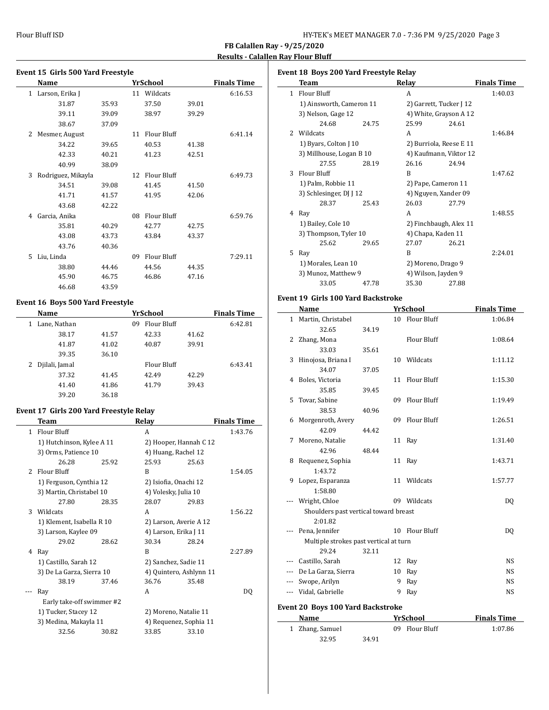$\overline{a}$ 

 $\overline{a}$ 

### **Event 15 Girls 500 Yard Freestyle Name** *YrSchool* **<b>Finals Time** 1 Larson, Erika J 11 Wildcats 6:16.53 31.87 35.93 37.50 39.01 39.11 39.09 38.97 39.29 38.67 37.09 2 Mesmer, August 11 Flour Bluff 6:41.14 34.22 39.65 40.53 41.38 42.33 40.21 41.23 42.51 40.99 38.09 3 Rodriguez, Mikayla 12 Flour Bluff 6:49.73 34.51 39.08 41.45 41.50 41.71 41.57 41.95 42.06 43.68 42.22 4 Garcia, Anika 08 Flour Bluff 6:59.76 35.81 40.29 42.77 42.75 43.08 43.73 43.84 43.37 43.76 40.36 5 Liu, Linda 09 Flour Bluff 7:29.11 38.80 44.46 44.56 44.35 45.90 46.75 46.86 47.16 46.68 43.59

#### **Event 16 Boys 500 Yard Freestyle**

| <b>Name</b>         |       | <b>Finals Time</b> |       |         |
|---------------------|-------|--------------------|-------|---------|
| Lane, Nathan        |       | Flour Bluff<br>09  |       | 6:42.81 |
| 38.17               | 41.57 | 42.33              | 41.62 |         |
| 41.87               | 41.02 | 40.87              | 39.91 |         |
| 39.35               | 36.10 |                    |       |         |
| Djilali, Jamal<br>2 |       | Flour Bluff        |       | 6:43.41 |
| 37.32               | 41.45 | 42.49              | 42.29 |         |
| 41.40               | 41.86 | 41.79              | 39.43 |         |
| 39.20               | 36.18 |                    |       |         |

#### **Event 17 Girls 200 Yard Freestyle Relay**

|               | Team                      |       | Relay                   |       | <b>Finals Time</b> |
|---------------|---------------------------|-------|-------------------------|-------|--------------------|
| $\mathbf{1}$  | <b>Flour Bluff</b>        |       | A                       |       | 1:43.76            |
|               | 1) Hutchinson, Kylee A 11 |       | 2) Hooper, Hannah C 12  |       |                    |
|               | 3) Orms, Patience 10      |       | 4) Huang, Rachel 12     |       |                    |
|               | 26.28                     | 25.92 | 25.93                   | 25.63 |                    |
| $\mathcal{L}$ | Flour Bluff               |       | B                       |       | 1:54.05            |
|               | 1) Ferguson, Cynthia 12   |       | 2) Isiofia, Onachi 12   |       |                    |
|               | 3) Martin, Christabel 10  |       | 4) Volesky, Julia 10    |       |                    |
|               | 27.80                     | 28.35 | 28.07                   | 29.83 |                    |
| 3             | Wildcats                  |       | A                       |       | 1:56.22            |
|               | 1) Klement, Isabella R 10 |       | 2) Larson, Averie A 12  |       |                    |
|               | 3) Larson, Kaylee 09      |       | 4) Larson, Erika J 11   |       |                    |
|               | 29.02                     | 28.62 | 30.34                   | 28.24 |                    |
| 4             | Ray                       |       | B                       |       | 2:27.89            |
|               | 1) Castillo, Sarah 12     |       | 2) Sanchez, Sadie 11    |       |                    |
|               | 3) De La Garza, Sierra 10 |       | 4) Quintero, Ashlynn 11 |       |                    |
|               | 38.19                     | 37.46 | 36.76                   | 35.48 |                    |
|               | Ray                       |       | A                       |       | DO.                |
|               | Early take-off swimmer #2 |       |                         |       |                    |
|               | 1) Tucker, Stacey 12      |       | 2) Moreno, Natalie 11   |       |                    |
|               | 3) Medina, Makayla 11     |       | 4) Requenez, Sophia 11  |       |                    |
|               | 32.56                     | 30.82 | 33.85                   | 33.10 |                    |
|               |                           |       |                         |       |                    |

| Event 18 Boys 200 Yard Freestyle Relay |                          |       |                     |                         |                    |
|----------------------------------------|--------------------------|-------|---------------------|-------------------------|--------------------|
|                                        | Team                     |       | Relay               |                         | <b>Finals Time</b> |
| $\mathbf{1}$                           | Flour Bluff              |       | A                   |                         | 1:40.03            |
|                                        | 1) Ainsworth, Cameron 11 |       |                     | 2) Garrett, Tucker J 12 |                    |
|                                        | 3) Nelson, Gage 12       |       |                     | 4) White, Grayson A 12  |                    |
|                                        | 24.68                    | 24.75 | 25.99               | 24.61                   |                    |
| 2                                      | Wildcats                 |       | A                   |                         | 1:46.84            |
|                                        | 1) Byars, Colton J 10    |       |                     | 2) Burriola, Reese E 11 |                    |
|                                        | 3) Millhouse, Logan B 10 |       |                     | 4) Kaufmann, Viktor 12  |                    |
|                                        | 27.55                    | 28.19 | 26.16               | 24.94                   |                    |
| 3                                      | <b>Flour Bluff</b>       |       | R                   |                         | 1:47.62            |
|                                        | 1) Palm, Robbie 11       |       |                     | 2) Pape, Cameron 11     |                    |
|                                        | 3) Schlesinger, DJ J 12  |       |                     | 4) Nguyen, Xander 09    |                    |
|                                        | 28.37                    | 25.43 | 26.03               | 27.79                   |                    |
| 4                                      | Ray                      |       | A                   |                         | 1:48.55            |
|                                        | 1) Bailey, Cole 10       |       |                     | 2) Finchbaugh, Alex 11  |                    |
|                                        | 3) Thompson, Tyler 10    |       | 4) Chapa, Kaden 11  |                         |                    |
|                                        | 25.62                    | 29.65 | 27.07               | 26.21                   |                    |
| 5.                                     | Ray                      |       | R                   |                         | 2:24.01            |
|                                        | 1) Morales, Lean 10      |       |                     | 2) Moreno, Drago 9      |                    |
|                                        | 3) Munoz, Matthew 9      |       | 4) Wilson, Jayden 9 |                         |                    |
|                                        | 33.05                    | 47.78 | 35.30               | 27.88                   |                    |

## **Event 19 Girls 100 Yard Backstroke**

|              | Name                                     |       |    | <b>YrSchool</b>    | <b>Finals Time</b> |
|--------------|------------------------------------------|-------|----|--------------------|--------------------|
| $\mathbf{1}$ | Martin, Christabel                       |       |    | 10 Flour Bluff     | 1:06.84            |
|              | 32.65                                    | 34.19 |    |                    |                    |
| 2            | Zhang, Mona                              |       |    | <b>Flour Bluff</b> | 1:08.64            |
|              | 33.03                                    | 35.61 |    |                    |                    |
| 3            | Hinojosa, Briana I                       |       | 10 | Wildcats           | 1:11.12            |
|              | 34.07                                    | 37.05 |    |                    |                    |
| 4            | Boles, Victoria                          |       | 11 | <b>Flour Bluff</b> | 1:15.30            |
|              | 35.85                                    | 39.45 |    |                    |                    |
| 5            | Tovar, Sabine                            |       | 09 | Flour Bluff        | 1:19.49            |
|              | 38.53                                    | 40.96 |    |                    |                    |
| 6            | Morgenroth, Avery                        |       | 09 | Flour Bluff        | 1:26.51            |
|              | 42.09                                    | 44.42 |    |                    |                    |
| 7            | Moreno, Natalie                          |       |    | 11 Ray             | 1:31.40            |
|              | 42.96                                    | 48.44 |    |                    |                    |
| 8            | Requenez, Sophia                         |       | 11 | Ray                | 1:43.71            |
|              | 1:43.72                                  |       |    |                    |                    |
| 9            | Lopez, Esparanza                         |       |    | 11 Wildcats        | 1:57.77            |
|              | 1:58.80                                  |       |    |                    |                    |
|              | Wright, Chloe                            |       |    | 09 Wildcats        | DQ                 |
|              | Shoulders past vertical toward breast    |       |    |                    |                    |
|              | 2:01.82                                  |       |    |                    |                    |
|              | Pena, Jennifer                           |       |    | 10 Flour Bluff     | DO.                |
|              | Multiple strokes past vertical at turn   |       |    |                    |                    |
|              | 29.24                                    | 32.11 |    |                    |                    |
| ---          | Castillo, Sarah                          |       | 12 | Ray                | NS.                |
| $- - -$      | De La Garza, Sierra                      |       | 10 | Ray                | NS.                |
| ---          | Swope, Arilyn                            |       | 9  | Ray                | NS                 |
| ---          | Vidal, Gabrielle                         |       | 9  | Ray                | <b>NS</b>          |
|              | <b>Event 20 Boys 100 Yard Backstroke</b> |       |    |                    |                    |
|              | <b>Name</b>                              |       |    | <b>YrSchool</b>    | <b>Finals Time</b> |
| $\mathbf{1}$ | Zhang, Samuel                            |       | 09 | Flour Bluff        | 1:07.86            |
|              | 32.95                                    | 34.91 |    |                    |                    |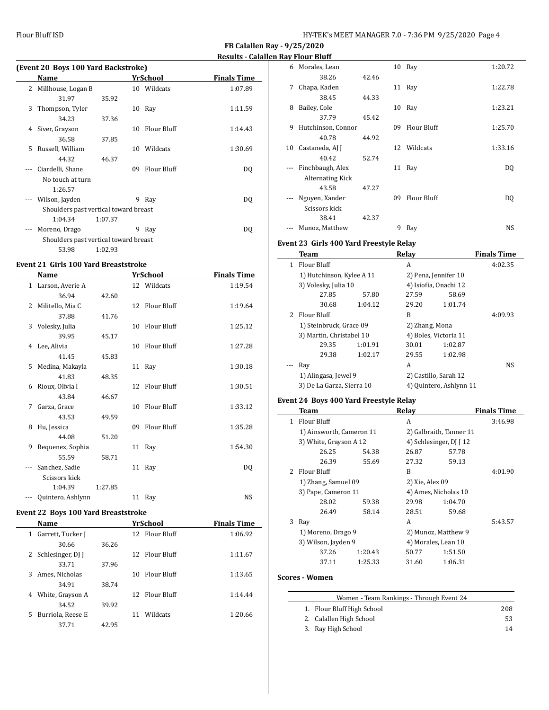| (Event 20 Boys 100 Yard Backstroke) |                                       |         |    |                    |                    |  |
|-------------------------------------|---------------------------------------|---------|----|--------------------|--------------------|--|
|                                     | Name                                  |         |    | YrSchool           | <b>Finals Time</b> |  |
| 2                                   | Millhouse, Logan B                    |         |    | 10 Wildcats        | 1:07.89            |  |
|                                     | 31.97                                 | 35.92   |    |                    |                    |  |
| 3                                   | Thompson, Tyler                       |         | 10 | Ray                | 1:11.59            |  |
|                                     | 34.23                                 | 37.36   |    |                    |                    |  |
| 4                                   | Siver, Grayson                        |         | 10 | <b>Flour Bluff</b> | 1:14.43            |  |
|                                     | 36.58                                 | 37.85   |    |                    |                    |  |
| 5.                                  | Russell, William                      |         | 10 | Wildcats           | 1:30.69            |  |
|                                     | 44.32                                 | 46.37   |    |                    |                    |  |
| $---$                               | Ciardelli, Shane                      |         | 09 | Flour Bluff        | DQ                 |  |
|                                     | No touch at turn                      |         |    |                    |                    |  |
|                                     | 1:26.57                               |         |    |                    |                    |  |
| $\cdots$                            | Wilson, Jayden                        |         | 9  | Ray                | DO.                |  |
|                                     | Shoulders past vertical toward breast |         |    |                    |                    |  |
|                                     | 1:04.34                               | 1:07.37 |    |                    |                    |  |
| $---$                               | Moreno, Drago                         |         | 9  | Ray                | DQ                 |  |
|                                     | Shoulders past vertical toward breast |         |    |                    |                    |  |
|                                     | 53.98                                 | 1:02.93 |    |                    |                    |  |

#### **Event 21 Girls 100 Yard Breaststroke**

|          | Name               |         |    | <b>YrSchool</b>    | <b>Finals Time</b> |
|----------|--------------------|---------|----|--------------------|--------------------|
|          | 1 Larson, Averie A |         |    | 12 Wildcats        | 1:19.54            |
|          | 36.94              | 42.60   |    |                    |                    |
| 2        | Militello, Mia C   |         |    | 12 Flour Bluff     | 1:19.64            |
|          | 37.88              | 41.76   |    |                    |                    |
| 3        | Volesky, Julia     |         | 10 | Flour Bluff        | 1:25.12            |
|          | 39.95              | 45.17   |    |                    |                    |
| 4        | Lee, Alivia        |         | 10 | <b>Flour Bluff</b> | 1:27.28            |
|          | 41.45              | 45.83   |    |                    |                    |
| 5        | Medina, Makayla    |         |    | 11 Ray             | 1:30.18            |
|          | 41.83              | 48.35   |    |                    |                    |
| 6        | Rioux, Olivia I    |         |    | 12 Flour Bluff     | 1:30.51            |
|          | 43.84              | 46.67   |    |                    |                    |
| 7        | Garza, Grace       |         | 10 | <b>Flour Bluff</b> | 1:33.12            |
|          | 43.53              | 49.59   |    |                    |                    |
| 8        | Hu, Jessica        |         | 09 | <b>Flour Bluff</b> | 1:35.28            |
|          | 44.08              | 51.20   |    |                    |                    |
| 9        | Requenez, Sophia   |         |    | 11 Ray             | 1:54.30            |
|          | 55.59              | 58.71   |    |                    |                    |
| $\cdots$ | Sanchez, Sadie     |         |    | 11 Ray             | DQ                 |
|          | Scissors kick      |         |    |                    |                    |
|          | 1:04.39            | 1:27.85 |    |                    |                    |
|          | Quintero, Ashlynn  |         |    | 11 Ray             | <b>NS</b>          |
|          |                    |         |    |                    |                    |

## **Event 22 Boys 100 Yard Breaststroke**

|    | Name                |       | YrSchool          | <b>Finals Time</b> |
|----|---------------------|-------|-------------------|--------------------|
| 1  | Garrett, Tucker J   |       | 12 Flour Bluff    | 1:06.92            |
|    | 30.66               | 36.26 |                   |                    |
|    | 2 Schlesinger, DJ J |       | 12 Flour Bluff    | 1:11.67            |
|    | 33.71               | 37.96 |                   |                    |
| 3  | Ames, Nicholas      |       | Flour Bluff<br>10 | 1:13.65            |
|    | 34.91               | 38.74 |                   |                    |
| 4  | White, Grayson A    |       | 12 Flour Bluff    | 1:14.44            |
|    | 34.52               | 39.92 |                   |                    |
| 5. | Burriola, Reese E   |       | Wildcats<br>11    | 1:20.66            |
|    | 37.71               | 42.95 |                   |                    |
|    |                     |       |                   |                    |

| 6  | Morales, Lean      |       |    | 10 Ray      | 1:20.72 |
|----|--------------------|-------|----|-------------|---------|
|    | 38.26              | 42.46 |    |             |         |
| 7  | Chapa, Kaden       |       | 11 | Ray         | 1:22.78 |
|    | 38.45              | 44.33 |    |             |         |
| 8  | Bailey, Cole       |       | 10 | Ray         | 1:23.21 |
|    | 37.79              | 45.42 |    |             |         |
| 9  | Hutchinson, Connor |       | 09 | Flour Bluff | 1:25.70 |
|    | 40.78              | 44.92 |    |             |         |
| 10 | Castaneda, AJ J    |       |    | 12 Wildcats | 1:33.16 |
|    | 40.42              | 52.74 |    |             |         |
|    | Finchbaugh, Alex   |       | 11 | Ray         | DQ      |
|    | Alternating Kick   |       |    |             |         |
|    | 43.58              | 47.27 |    |             |         |
|    | Nguyen, Xander     |       | 09 | Flour Bluff | DQ      |
|    | Scissors kick      |       |    |             |         |
|    | 38.41              | 42.37 |    |             |         |
|    | Munoz, Matthew     |       | 9  | Ray         | NS      |

#### **Event 23 Girls 400 Yard Freestyle Relay**

| Team        |                     | Relav                                                                                                                                                         |         | <b>Finals Time</b>                                                                                                                           |
|-------------|---------------------|---------------------------------------------------------------------------------------------------------------------------------------------------------------|---------|----------------------------------------------------------------------------------------------------------------------------------------------|
| Flour Bluff |                     | A                                                                                                                                                             |         | 4:02.35                                                                                                                                      |
|             |                     |                                                                                                                                                               |         |                                                                                                                                              |
|             |                     |                                                                                                                                                               |         |                                                                                                                                              |
| 27.85       | 57.80               | 27.59                                                                                                                                                         | 58.69   |                                                                                                                                              |
| 30.68       | 1:04.12             | 29.20                                                                                                                                                         | 1:01.74 |                                                                                                                                              |
|             |                     | B                                                                                                                                                             |         | 4:09.93                                                                                                                                      |
|             |                     |                                                                                                                                                               |         |                                                                                                                                              |
|             |                     |                                                                                                                                                               |         |                                                                                                                                              |
| 29.35       | 1:01.91             | 30.01                                                                                                                                                         | 1:02.87 |                                                                                                                                              |
| 29.38       | 1:02.17             | 29.55                                                                                                                                                         | 1:02.98 |                                                                                                                                              |
| Ray         |                     | A                                                                                                                                                             |         | NS.                                                                                                                                          |
|             |                     |                                                                                                                                                               |         |                                                                                                                                              |
|             |                     |                                                                                                                                                               |         |                                                                                                                                              |
|             | 1.<br>2 Flour Bluff | 1) Hutchinson, Kylee A 11<br>3) Volesky, Julia 10<br>1) Steinbruck, Grace 09<br>3) Martin, Christabel 10<br>1) Alingasa, Jewel 9<br>3) De La Garza, Sierra 10 |         | 2) Pena, Jennifer 10<br>4) Isiofia, Onachi 12<br>2) Zhang, Mona<br>4) Boles, Victoria 11<br>2) Castillo, Sarah 12<br>4) Quintero, Ashlynn 11 |

## **Event 24 Boys 400 Yard Freestyle Relay**

|              | Team                     |         | Relay                |                         | <b>Finals Time</b> |
|--------------|--------------------------|---------|----------------------|-------------------------|--------------------|
| $\mathbf{1}$ | Flour Bluff              |         | A                    |                         | 3:46.98            |
|              | 1) Ainsworth, Cameron 11 |         |                      | 2) Galbraith, Tanner 11 |                    |
|              | 3) White, Grayson A 12   |         |                      | 4) Schlesinger, DJ J 12 |                    |
|              | 26.25                    | 54.38   | 26.87                | 57.78                   |                    |
|              | 26.39                    | 55.69   | 27.32                | 59.13                   |                    |
| $2^{\circ}$  | Flour Bluff              |         | B                    |                         | 4:01.90            |
|              | 1) Zhang, Samuel 09      |         | 2) Xie, Alex 09      |                         |                    |
|              | 3) Pape, Cameron 11      |         | 4) Ames, Nicholas 10 |                         |                    |
|              | 28.02                    | 59.38   | 29.98                | 1:04.70                 |                    |
|              | 26.49                    | 58.14   | 28.51                | 59.68                   |                    |
| 3            | Ray                      |         | A                    |                         | 5:43.57            |
|              | 1) Moreno, Drago 9       |         |                      | 2) Munoz, Matthew 9     |                    |
|              | 3) Wilson, Jayden 9      |         | 4) Morales, Lean 10  |                         |                    |
|              | 37.26                    | 1:20.43 | 50.77                | 1:51.50                 |                    |
|              | 37.11                    | 1:25.33 | 31.60                | 1:06.31                 |                    |

#### **Scores - Women**

| Women - Team Rankings - Through Event 24 |                                                                             |  |  |  |  |  |
|------------------------------------------|-----------------------------------------------------------------------------|--|--|--|--|--|
|                                          | 208                                                                         |  |  |  |  |  |
|                                          | 53                                                                          |  |  |  |  |  |
|                                          | 14                                                                          |  |  |  |  |  |
|                                          | 1. Flour Bluff High School<br>2. Calallen High School<br>3. Ray High School |  |  |  |  |  |